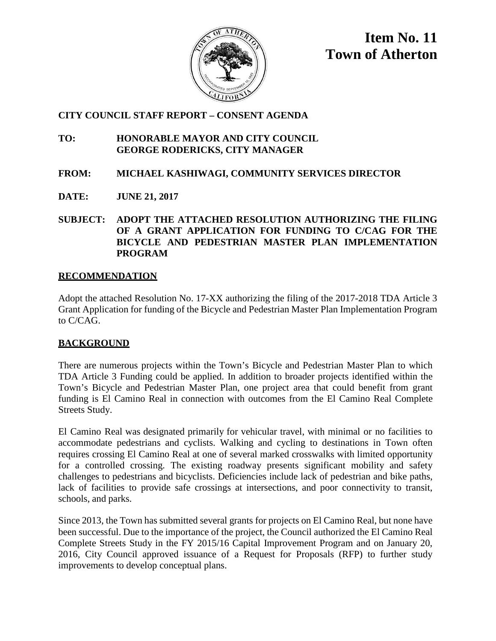

**Item No. 11 Town of Atherton**

# **CITY COUNCIL STAFF REPORT – CONSENT AGENDA**

# **TO: HONORABLE MAYOR AND CITY COUNCIL GEORGE RODERICKS, CITY MANAGER**

- **FROM: MICHAEL KASHIWAGI, COMMUNITY SERVICES DIRECTOR**
- **DATE: JUNE 21, 2017**
- **SUBJECT: ADOPT THE ATTACHED RESOLUTION AUTHORIZING THE FILING OF A GRANT APPLICATION FOR FUNDING TO C/CAG FOR THE BICYCLE AND PEDESTRIAN MASTER PLAN IMPLEMENTATION PROGRAM**

# **RECOMMENDATION**

Adopt the attached Resolution No. 17-XX authorizing the filing of the 2017-2018 TDA Article 3 Grant Application for funding of the Bicycle and Pedestrian Master Plan Implementation Program to C/CAG.

# **BACKGROUND**

There are numerous projects within the Town's Bicycle and Pedestrian Master Plan to which TDA Article 3 Funding could be applied. In addition to broader projects identified within the Town's Bicycle and Pedestrian Master Plan, one project area that could benefit from grant funding is El Camino Real in connection with outcomes from the El Camino Real Complete Streets Study.

El Camino Real was designated primarily for vehicular travel, with minimal or no facilities to accommodate pedestrians and cyclists. Walking and cycling to destinations in Town often requires crossing El Camino Real at one of several marked crosswalks with limited opportunity for a controlled crossing. The existing roadway presents significant mobility and safety challenges to pedestrians and bicyclists. Deficiencies include lack of pedestrian and bike paths, lack of facilities to provide safe crossings at intersections, and poor connectivity to transit, schools, and parks.

Since 2013, the Town has submitted several grants for projects on El Camino Real, but none have been successful. Due to the importance of the project, the Council authorized the El Camino Real Complete Streets Study in the FY 2015/16 Capital Improvement Program and on January 20, 2016, City Council approved issuance of a Request for Proposals (RFP) to further study improvements to develop conceptual plans.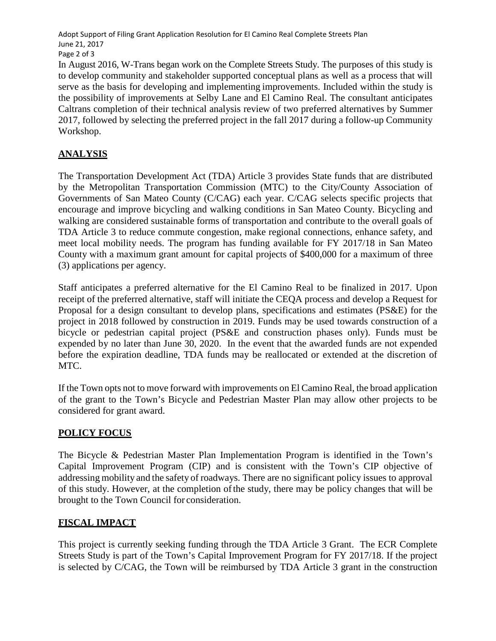Adopt Support of Filing Grant Application Resolution for El Camino Real Complete Streets Plan June 21, 2017 Page 2 of 3

In August 2016, W-Trans began work on the Complete Streets Study. The purposes of this study is to develop community and stakeholder supported conceptual plans as well as a process that will serve as the basis for developing and implementing improvements. Included within the study is the possibility of improvements at Selby Lane and El Camino Real. The consultant anticipates Caltrans completion of their technical analysis review of two preferred alternatives by Summer 2017, followed by selecting the preferred project in the fall 2017 during a follow-up Community Workshop.

# **ANALYSIS**

The Transportation Development Act (TDA) Article 3 provides State funds that are distributed by the Metropolitan Transportation Commission (MTC) to the City/County Association of Governments of San Mateo County (C/CAG) each year. C/CAG selects specific projects that encourage and improve bicycling and walking conditions in San Mateo County. Bicycling and walking are considered sustainable forms of transportation and contribute to the overall goals of TDA Article 3 to reduce commute congestion, make regional connections, enhance safety, and meet local mobility needs. The program has funding available for FY 2017/18 in San Mateo County with a maximum grant amount for capital projects of \$400,000 for a maximum of three (3) applications per agency.

Staff anticipates a preferred alternative for the El Camino Real to be finalized in 2017. Upon receipt of the preferred alternative, staff will initiate the CEQA process and develop a Request for Proposal for a design consultant to develop plans, specifications and estimates (PS&E) for the project in 2018 followed by construction in 2019. Funds may be used towards construction of a bicycle or pedestrian capital project (PS&E and construction phases only). Funds must be expended by no later than June 30, 2020. In the event that the awarded funds are not expended before the expiration deadline, TDA funds may be reallocated or extended at the discretion of MTC.

If the Town opts not to move forward with improvements on El Camino Real, the broad application of the grant to the Town's Bicycle and Pedestrian Master Plan may allow other projects to be considered for grant award.

## **POLICY FOCUS**

The Bicycle & Pedestrian Master Plan Implementation Program is identified in the Town's Capital Improvement Program (CIP) and is consistent with the Town's CIP objective of addressing mobility and the safety of roadways. There are no significant policy issues to approval of this study. However, at the completion ofthe study, there may be policy changes that will be brought to the Town Council for consideration.

# **FISCAL IMPACT**

This project is currently seeking funding through the TDA Article 3 Grant. The ECR Complete Streets Study is part of the Town's Capital Improvement Program for FY 2017/18. If the project is selected by C/CAG, the Town will be reimbursed by TDA Article 3 grant in the construction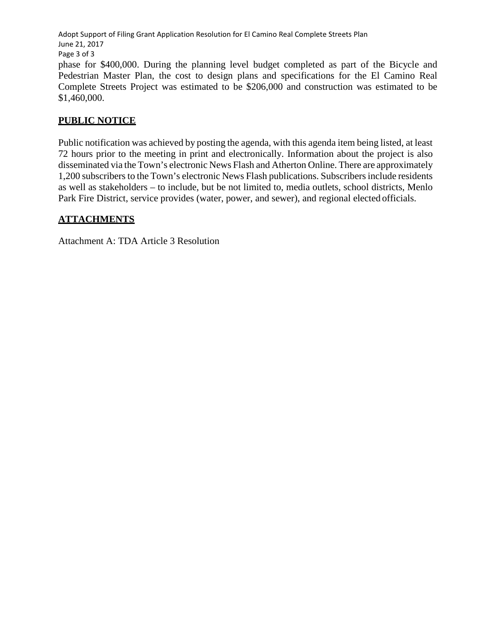Adopt Support of Filing Grant Application Resolution for El Camino Real Complete Streets Plan June 21, 2017 Page 3 of 3

phase for \$400,000. During the planning level budget completed as part of the Bicycle and Pedestrian Master Plan, the cost to design plans and specifications for the El Camino Real Complete Streets Project was estimated to be \$206,000 and construction was estimated to be \$1,460,000.

## **PUBLIC NOTICE**

Public notification was achieved by posting the agenda, with this agenda item being listed, at least 72 hours prior to the meeting in print and electronically. Information about the project is also disseminated via the Town's electronic News Flash and Atherton Online. There are approximately 1,200 subscribers to the Town's electronic News Flash publications. Subscribers include residents as well as stakeholders – to include, but be not limited to, media outlets, school districts, Menlo Park Fire District, service provides (water, power, and sewer), and regional elected officials.

## **ATTACHMENTS**

Attachment A: TDA Article 3 Resolution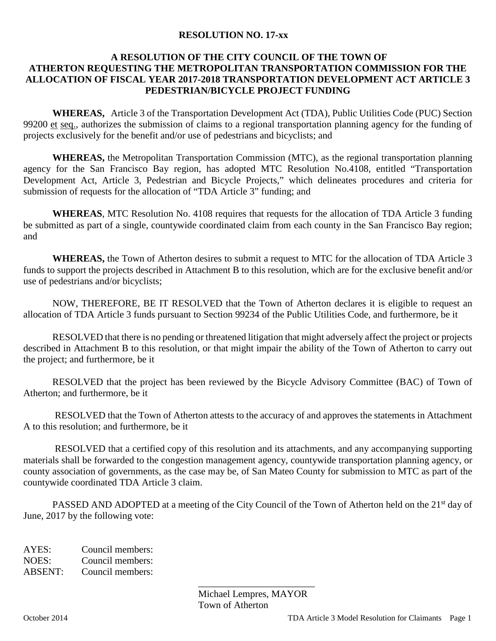### **RESOLUTION NO. 17-xx**

### **A RESOLUTION OF THE CITY COUNCIL OF THE TOWN OF ATHERTON REQUESTING THE METROPOLITAN TRANSPORTATION COMMISSION FOR THE ALLOCATION OF FISCAL YEAR 2017-2018 TRANSPORTATION DEVELOPMENT ACT ARTICLE 3 PEDESTRIAN/BICYCLE PROJECT FUNDING**

**WHEREAS,** Article 3 of the Transportation Development Act (TDA), Public Utilities Code (PUC) Section 99200 et seq., authorizes the submission of claims to a regional transportation planning agency for the funding of projects exclusively for the benefit and/or use of pedestrians and bicyclists; and

**WHEREAS,** the Metropolitan Transportation Commission (MTC), as the regional transportation planning agency for the San Francisco Bay region, has adopted MTC Resolution No.4108, entitled "Transportation Development Act, Article 3, Pedestrian and Bicycle Projects," which delineates procedures and criteria for submission of requests for the allocation of "TDA Article 3" funding; and

**WHEREAS**, MTC Resolution No. 4108 requires that requests for the allocation of TDA Article 3 funding be submitted as part of a single, countywide coordinated claim from each county in the San Francisco Bay region; and

**WHEREAS,** the Town of Atherton desires to submit a request to MTC for the allocation of TDA Article 3 funds to support the projects described in Attachment B to this resolution, which are for the exclusive benefit and/or use of pedestrians and/or bicyclists;

NOW, THEREFORE, BE IT RESOLVED that the Town of Atherton declares it is eligible to request an allocation of TDA Article 3 funds pursuant to Section 99234 of the Public Utilities Code, and furthermore, be it

 RESOLVED that there is no pending or threatened litigation that might adversely affect the project or projects described in Attachment B to this resolution, or that might impair the ability of the Town of Atherton to carry out the project; and furthermore, be it

 RESOLVED that the project has been reviewed by the Bicycle Advisory Committee (BAC) of Town of Atherton; and furthermore, be it

 RESOLVED that the Town of Atherton attests to the accuracy of and approves the statements in Attachment A to this resolution; and furthermore, be it

RESOLVED that a certified copy of this resolution and its attachments, and any accompanying supporting materials shall be forwarded to the congestion management agency, countywide transportation planning agency, or county association of governments, as the case may be, of San Mateo County for submission to MTC as part of the countywide coordinated TDA Article 3 claim.

PASSED AND ADOPTED at a meeting of the City Council of the Town of Atherton held on the 21<sup>st</sup> day of June, 2017 by the following vote:

AYES: Council members: NOES: Council members: ABSENT: Council members:

> \_\_\_\_\_\_\_\_\_\_\_\_\_\_\_\_\_\_\_\_\_\_\_\_ Michael Lempres, MAYOR Town of Atherton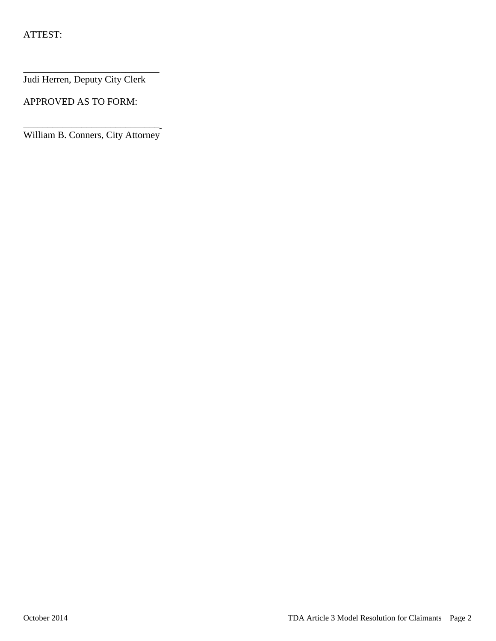Judi Herren, Deputy City Clerk

\_\_\_\_\_\_\_\_\_\_\_\_\_\_\_\_\_\_\_\_\_\_\_\_\_\_\_\_

APPROVED AS TO FORM:

\_\_\_\_\_\_\_\_\_\_\_\_\_\_\_\_\_\_\_\_\_\_\_\_\_\_\_\_ William B. Conners, City Attorney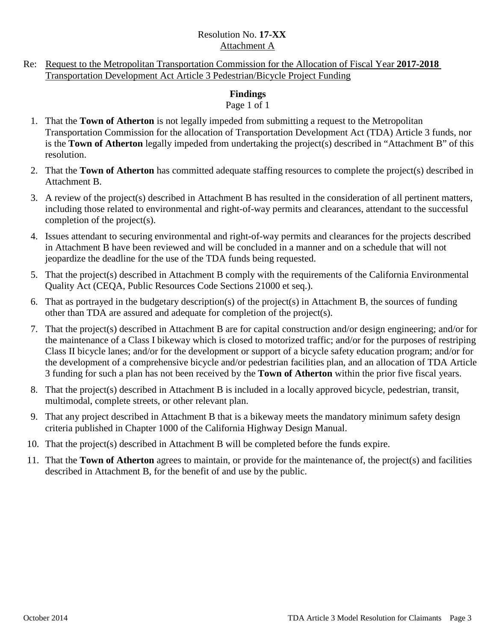## Resolution No. **17-XX** Attachment A

Re: Request to the Metropolitan Transportation Commission for the Allocation of Fiscal Year **2017-2018** Transportation Development Act Article 3 Pedestrian/Bicycle Project Funding

# **Findings**

## Page 1 of 1

- 1. That the **Town of Atherton** is not legally impeded from submitting a request to the Metropolitan Transportation Commission for the allocation of Transportation Development Act (TDA) Article 3 funds, nor is the **Town of Atherton** legally impeded from undertaking the project(s) described in "Attachment B" of this resolution.
- 2. That the **Town of Atherton** has committed adequate staffing resources to complete the project(s) described in Attachment B.
- 3. A review of the project(s) described in Attachment B has resulted in the consideration of all pertinent matters, including those related to environmental and right-of-way permits and clearances, attendant to the successful completion of the project(s).
- 4. Issues attendant to securing environmental and right-of-way permits and clearances for the projects described in Attachment B have been reviewed and will be concluded in a manner and on a schedule that will not jeopardize the deadline for the use of the TDA funds being requested.
- 5. That the project(s) described in Attachment B comply with the requirements of the California Environmental Quality Act (CEQA, Public Resources Code Sections 21000 et seq.).
- 6. That as portrayed in the budgetary description(s) of the project(s) in Attachment B, the sources of funding other than TDA are assured and adequate for completion of the project(s).
- 7. That the project(s) described in Attachment B are for capital construction and/or design engineering; and/or for the maintenance of a Class I bikeway which is closed to motorized traffic; and/or for the purposes of restriping Class II bicycle lanes; and/or for the development or support of a bicycle safety education program; and/or for the development of a comprehensive bicycle and/or pedestrian facilities plan, and an allocation of TDA Article 3 funding for such a plan has not been received by the **Town of Atherton** within the prior five fiscal years.
- 8. That the project(s) described in Attachment B is included in a locally approved bicycle, pedestrian, transit, multimodal, complete streets, or other relevant plan.
- 9. That any project described in Attachment B that is a bikeway meets the mandatory minimum safety design criteria published in Chapter 1000 of the California Highway Design Manual.
- 10. That the project(s) described in Attachment B will be completed before the funds expire.
- 11. That the **Town of Atherton** agrees to maintain, or provide for the maintenance of, the project(s) and facilities described in Attachment B, for the benefit of and use by the public.